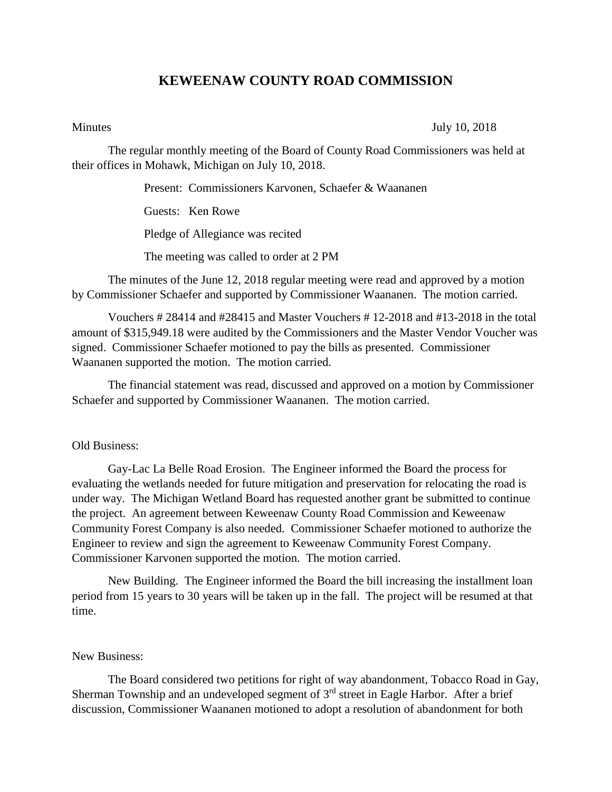## **KEWEENAW COUNTY ROAD COMMISSION**

Minutes July 10, 2018

The regular monthly meeting of the Board of County Road Commissioners was held at their offices in Mohawk, Michigan on July 10, 2018.

Present: Commissioners Karvonen, Schaefer & Waananen

Guests: Ken Rowe

Pledge of Allegiance was recited

The meeting was called to order at 2 PM

The minutes of the June 12, 2018 regular meeting were read and approved by a motion by Commissioner Schaefer and supported by Commissioner Waananen. The motion carried.

Vouchers # 28414 and #28415 and Master Vouchers # 12-2018 and #13-2018 in the total amount of \$315,949.18 were audited by the Commissioners and the Master Vendor Voucher was signed. Commissioner Schaefer motioned to pay the bills as presented. Commissioner Waananen supported the motion. The motion carried.

The financial statement was read, discussed and approved on a motion by Commissioner Schaefer and supported by Commissioner Waananen. The motion carried.

## Old Business:

Gay-Lac La Belle Road Erosion. The Engineer informed the Board the process for evaluating the wetlands needed for future mitigation and preservation for relocating the road is under way. The Michigan Wetland Board has requested another grant be submitted to continue the project. An agreement between Keweenaw County Road Commission and Keweenaw Community Forest Company is also needed. Commissioner Schaefer motioned to authorize the Engineer to review and sign the agreement to Keweenaw Community Forest Company. Commissioner Karvonen supported the motion. The motion carried.

New Building. The Engineer informed the Board the bill increasing the installment loan period from 15 years to 30 years will be taken up in the fall. The project will be resumed at that time.

## New Business:

The Board considered two petitions for right of way abandonment, Tobacco Road in Gay, Sherman Township and an undeveloped segment of 3<sup>rd</sup> street in Eagle Harbor. After a brief discussion, Commissioner Waananen motioned to adopt a resolution of abandonment for both